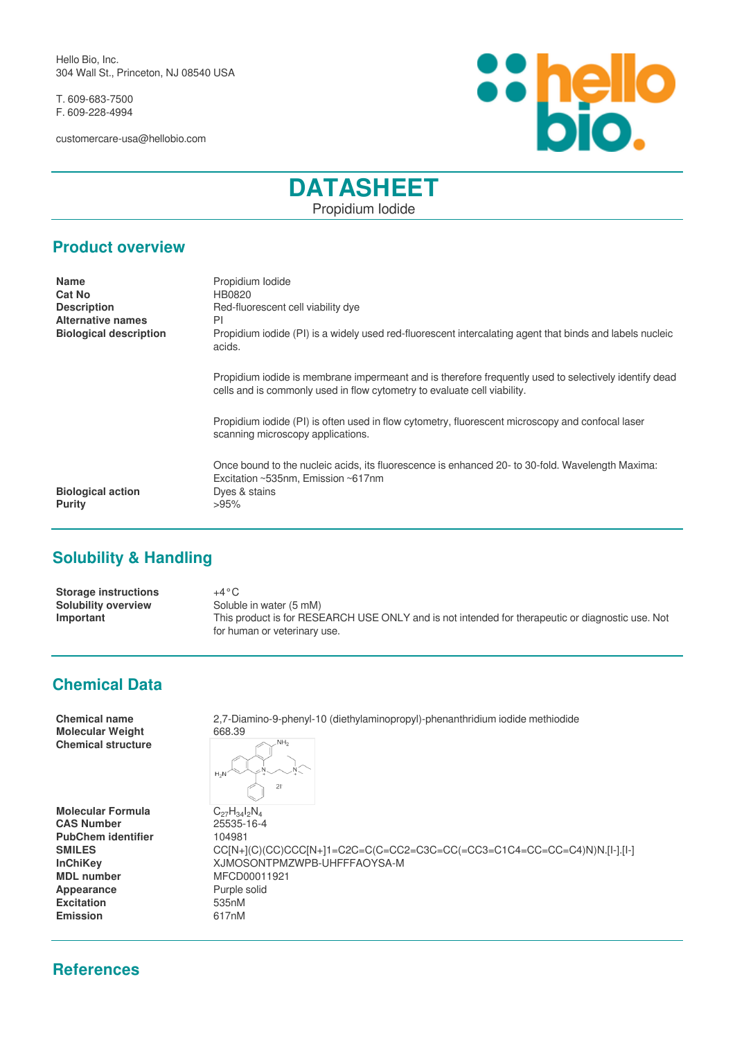Hello Bio, Inc. 304 Wall St., Princeton, NJ 08540 USA

T. 609-683-7500 F. 609-228-4994

customercare-usa@hellobio.com



# **DATASHEET** Propidium Iodide

#### **Product overview**

| <b>Name</b>                   | Propidium Iodide                                                                                                                                                                  |
|-------------------------------|-----------------------------------------------------------------------------------------------------------------------------------------------------------------------------------|
| <b>Cat No</b>                 | HB0820                                                                                                                                                                            |
| <b>Description</b>            | Red-fluorescent cell viability dye                                                                                                                                                |
| <b>Alternative names</b>      | PI                                                                                                                                                                                |
| <b>Biological description</b> | Propidium iodide (PI) is a widely used red-fluorescent intercalating agent that binds and labels nucleic<br>acids.                                                                |
|                               | Propidium iodide is membrane impermeant and is therefore frequently used to selectively identify dead<br>cells and is commonly used in flow cytometry to evaluate cell viability. |
|                               | Propidium iodide (PI) is often used in flow cytometry, fluorescent microscopy and confocal laser<br>scanning microscopy applications.                                             |
|                               | Once bound to the nucleic acids, its fluorescence is enhanced 20- to 30-fold. Wavelength Maxima:<br>Excitation ~535nm, Emission ~617nm                                            |
| <b>Biological action</b>      | Dyes & stains                                                                                                                                                                     |
| Purity                        | >95%                                                                                                                                                                              |
|                               |                                                                                                                                                                                   |

## **Solubility & Handling**

| <b>Storage instructions</b> | $+4\,^{\circ}\mathrm{C}$                                                                         |
|-----------------------------|--------------------------------------------------------------------------------------------------|
| <b>Solubility overview</b>  | Soluble in water (5 mM)                                                                          |
| Important                   | This product is for RESEARCH USE ONLY and is not intended for therapeutic or diagnostic use. Not |
|                             | for human or veterinary use.                                                                     |

### **Chemical Data**

| <b>Chemical name</b><br><b>Molecular Weight</b> | 2,7-Diamino-9-phenyl-10 (diethylaminopropyl)-phenanthridium iodide methiodide<br>668.39 |
|-------------------------------------------------|-----------------------------------------------------------------------------------------|
| <b>Chemical structure</b>                       | NH <sub>2</sub><br>$H_2N$<br>21                                                         |
| <b>Molecular Formula</b>                        | $C_{27}H_{34}I_2N_4$                                                                    |
| <b>CAS Number</b>                               | 25535-16-4                                                                              |
| <b>PubChem identifier</b>                       | 104981                                                                                  |
| <b>SMILES</b>                                   | CC[N+](C)(CC)CCC[N+]1=C2C=C(C=CC2=C3C=CC(=CC3=C1C4=CC=CC=C4)N)N.[I-].[I-]               |
| <b>InChiKev</b>                                 | XJMOSONTPMZWPB-UHFFFAOYSA-M                                                             |
| <b>MDL</b> number                               | MFCD00011921                                                                            |
| Appearance                                      | Purple solid                                                                            |
| <b>Excitation</b>                               | 535nM                                                                                   |
| <b>Emission</b>                                 | 617nM                                                                                   |
|                                                 |                                                                                         |

### **References**